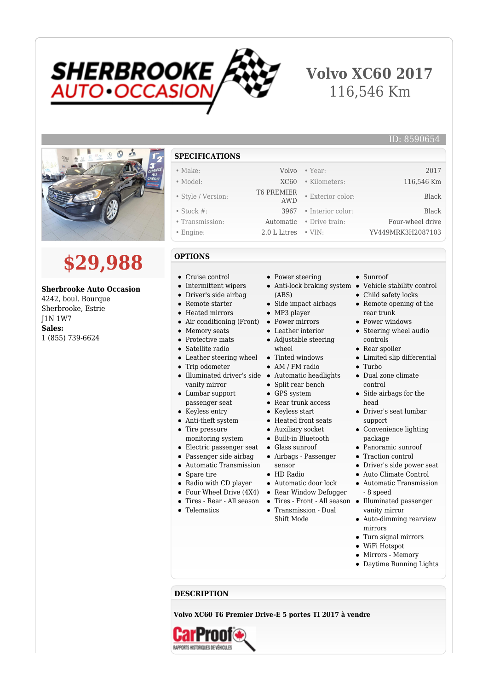

## **Volvo XC60 2017** 116,546 Km



# **\$29,988**

### **Sherbrooke Auto Occasion**

4242, boul. Bourque Sherbrooke, Estrie J1N 1W7 **Sales:** 1 (855) 739-6624

#### **SPECIFICATIONS**

- Make: Volvo Year: 2017 • Model: XC60 • Kilometers: 116,546 Km
- Style / Version: T6 PREMIER
- Stock #: 3967 Interior color: Black
- Transmission: Automatic Drive train: Four-wheel drive
- Engine: 2.0 L Litres VIN: YV449MRK3H2087103

#### **OPTIONS**

- Cruise control
- Intermittent wipers
- Driver's side airbag
- Remote starter
- Heated mirrors
- Air conditioning (Front)
- Memory seats
- Protective mats
- Satellite radio
- Leather steering wheel Tinted windows
- Trip odometer
- Illuminated driver's side Automatic headlights vanity mirror
- Lumbar support passenger seat
- Keyless entry
- 
- Anti-theft system
- Tire pressure monitoring system
- Electric passenger seat Glass sunroof
- Passenger side airbag
- Automatic Transmission
- Spare tire

 $\bullet$ 

- Radio with CD player
- 
- Tires Rear All season
- Telematics
- Power steering
- 
- (ABS)
- Side impact airbags
- MP3 player
- Power mirrors
- Leather interior Adjustable steering wheel
- 
- AM / FM radio
- 
- Split rear bench
- GPS system
- Rear trunk access
- Keyless start
- Heated front seats
- Auxiliary socket
- Built-in Bluetooth
- 
- Airbags Passenger sensor
- HD Radio
- Automatic door lock
- Four Wheel Drive (4X4) Rear Window Defogger
	- Tires Front All season
	- Transmission Dual Shift Mode

Sunroof

• Exterior color: Black

Anti-lock braking system • Vehicle stability control

ID: 8590654

- Child safety locks
- Remote opening of the rear trunk
- Power windows
- Steering wheel audio controls
- Rear spoiler
- Limited slip differential
- Turbo
- Dual zone climate control
- Side airbags for the head
- Driver's seat lumbar support
- Convenience lighting package
- Panoramic sunroof
- Traction control
- Driver's side power seat
- Auto Climate Control Automatic Transmission
- 8 speed Illuminated passenger
- vanity mirror Auto-dimming rearview mirrors
- Turn signal mirrors
- WiFi Hotspot
- Mirrors Memory
- Daytime Running Lights

**DESCRIPTION**

**Volvo XC60 T6 Premier Drive-E 5 portes TI 2017 à vendre**